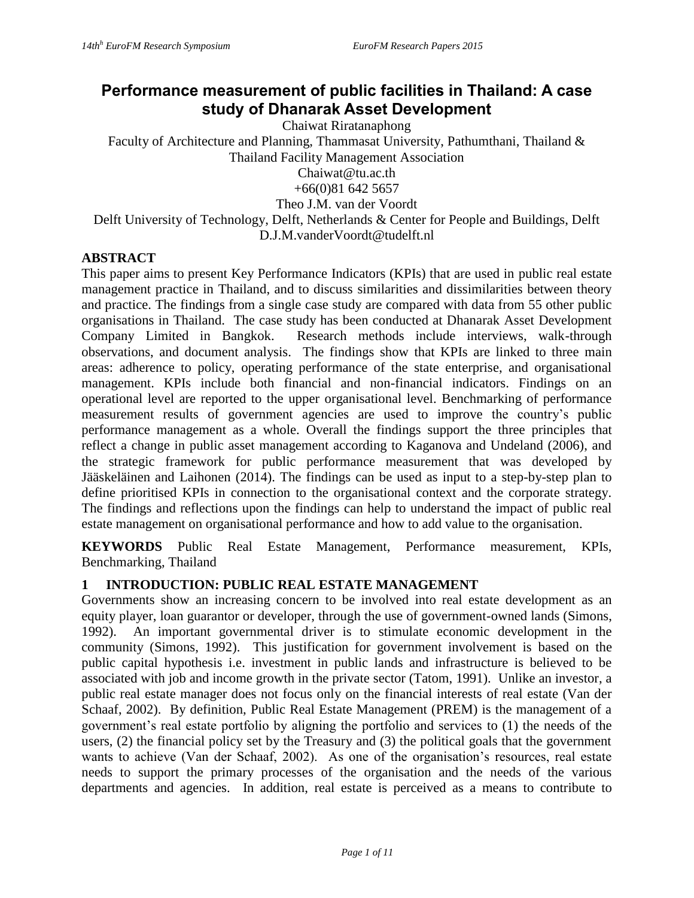# **Performance measurement of public facilities in Thailand: A case study of Dhanarak Asset Development**

Chaiwat Riratanaphong

Faculty of Architecture and Planning, Thammasat University, Pathumthani, Thailand & Thailand Facility Management Association

Chaiwat@tu.ac.th

+66(0)81 642 5657

Theo J.M. van der Voordt

Delft University of Technology, Delft, Netherlands & Center for People and Buildings, Delft D.J.M.vanderVoordt@tudelft.nl

#### **ABSTRACT**

This paper aims to present Key Performance Indicators (KPIs) that are used in public real estate management practice in Thailand, and to discuss similarities and dissimilarities between theory and practice. The findings from a single case study are compared with data from 55 other public organisations in Thailand. The case study has been conducted at Dhanarak Asset Development Company Limited in Bangkok. Research methods include interviews, walk-through observations, and document analysis. The findings show that KPIs are linked to three main areas: adherence to policy, operating performance of the state enterprise, and organisational management. KPIs include both financial and non-financial indicators. Findings on an operational level are reported to the upper organisational level. Benchmarking of performance measurement results of government agencies are used to improve the country's public performance management as a whole. Overall the findings support the three principles that reflect a change in public asset management according to Kaganova and Undeland (2006), and the strategic framework for public performance measurement that was developed by Jääskeläinen and Laihonen (2014). The findings can be used as input to a step-by-step plan to define prioritised KPIs in connection to the organisational context and the corporate strategy. The findings and reflections upon the findings can help to understand the impact of public real estate management on organisational performance and how to add value to the organisation.

**KEYWORDS** Public Real Estate Management, Performance measurement, KPIs, Benchmarking, Thailand

### **1 INTRODUCTION: PUBLIC REAL ESTATE MANAGEMENT**

Governments show an increasing concern to be involved into real estate development as an equity player, loan guarantor or developer, through the use of government-owned lands (Simons, 1992). An important governmental driver is to stimulate economic development in the community (Simons, 1992). This justification for government involvement is based on the public capital hypothesis i.e. investment in public lands and infrastructure is believed to be associated with job and income growth in the private sector (Tatom, 1991). Unlike an investor, a public real estate manager does not focus only on the financial interests of real estate (Van der Schaaf, 2002). By definition, Public Real Estate Management (PREM) is the management of a government's real estate portfolio by aligning the portfolio and services to (1) the needs of the users, (2) the financial policy set by the Treasury and (3) the political goals that the government wants to achieve (Van der Schaaf, 2002). As one of the organisation's resources, real estate needs to support the primary processes of the organisation and the needs of the various departments and agencies. In addition, real estate is perceived as a means to contribute to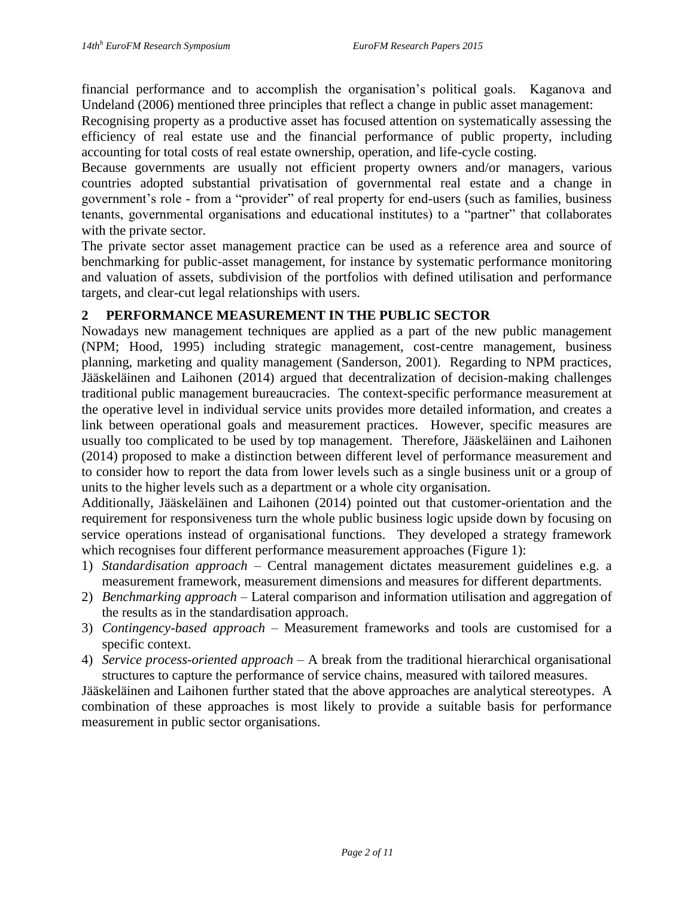financial performance and to accomplish the organisation's political goals. Kaganova and Undeland (2006) mentioned three principles that reflect a change in public asset management:

Recognising property as a productive asset has focused attention on systematically assessing the efficiency of real estate use and the financial performance of public property, including accounting for total costs of real estate ownership, operation, and life-cycle costing.

Because governments are usually not efficient property owners and/or managers, various countries adopted substantial privatisation of governmental real estate and a change in government's role - from a "provider" of real property for end-users (such as families, business tenants, governmental organisations and educational institutes) to a "partner" that collaborates with the private sector.

The private sector asset management practice can be used as a reference area and source of benchmarking for public-asset management, for instance by systematic performance monitoring and valuation of assets, subdivision of the portfolios with defined utilisation and performance targets, and clear-cut legal relationships with users.

### **2 PERFORMANCE MEASUREMENT IN THE PUBLIC SECTOR**

Nowadays new management techniques are applied as a part of the new public management (NPM; Hood, 1995) including strategic management, cost-centre management, business planning, marketing and quality management (Sanderson, 2001). Regarding to NPM practices, Jääskeläinen and Laihonen (2014) argued that decentralization of decision-making challenges traditional public management bureaucracies. The context-specific performance measurement at the operative level in individual service units provides more detailed information, and creates a link between operational goals and measurement practices. However, specific measures are usually too complicated to be used by top management. Therefore, Jääskeläinen and Laihonen (2014) proposed to make a distinction between different level of performance measurement and to consider how to report the data from lower levels such as a single business unit or a group of units to the higher levels such as a department or a whole city organisation.

Additionally, Jääskeläinen and Laihonen (2014) pointed out that customer-orientation and the requirement for responsiveness turn the whole public business logic upside down by focusing on service operations instead of organisational functions. They developed a strategy framework which recognises four different performance measurement approaches (Figure 1):

- 1) *Standardisation approach* Central management dictates measurement guidelines e.g. a measurement framework, measurement dimensions and measures for different departments.
- 2) *Benchmarking approach* Lateral comparison and information utilisation and aggregation of the results as in the standardisation approach.
- 3) *Contingency-based approach* Measurement frameworks and tools are customised for a specific context.
- 4) *Service process-oriented approach* A break from the traditional hierarchical organisational structures to capture the performance of service chains, measured with tailored measures.

Jääskeläinen and Laihonen further stated that the above approaches are analytical stereotypes. A combination of these approaches is most likely to provide a suitable basis for performance measurement in public sector organisations.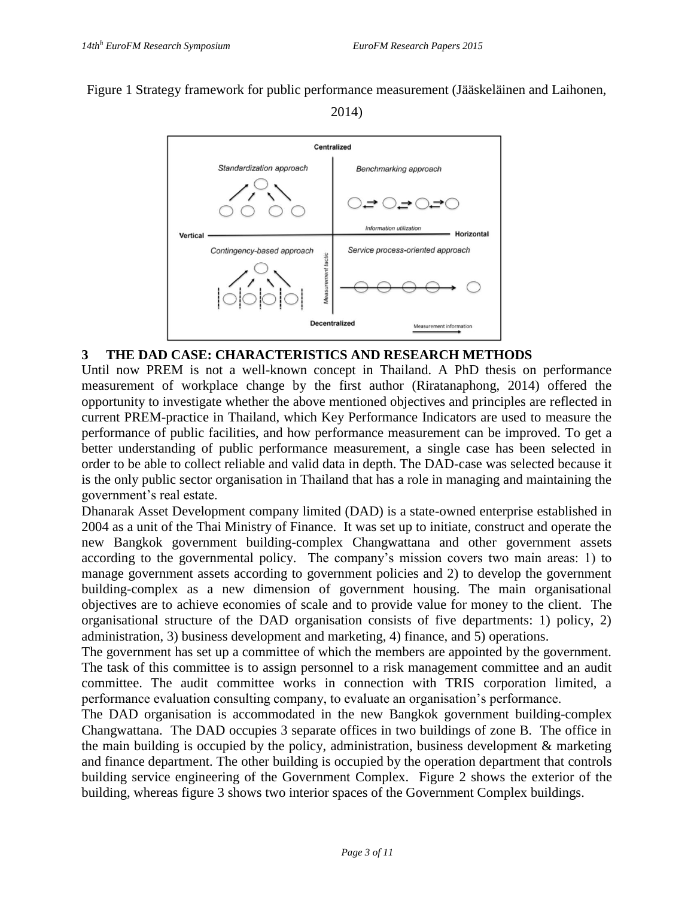Figure 1 Strategy framework for public performance measurement (Jääskeläinen and Laihonen,

2014)



### **3 THE DAD CASE: CHARACTERISTICS AND RESEARCH METHODS**

Until now PREM is not a well-known concept in Thailand. A PhD thesis on performance measurement of workplace change by the first author (Riratanaphong, 2014) offered the opportunity to investigate whether the above mentioned objectives and principles are reflected in current PREM-practice in Thailand, which Key Performance Indicators are used to measure the performance of public facilities, and how performance measurement can be improved. To get a better understanding of public performance measurement, a single case has been selected in order to be able to collect reliable and valid data in depth. The DAD-case was selected because it is the only public sector organisation in Thailand that has a role in managing and maintaining the government's real estate.

Dhanarak Asset Development company limited (DAD) is a state-owned enterprise established in 2004 as a unit of the Thai Ministry of Finance. It was set up to initiate, construct and operate the new Bangkok government building-complex Changwattana and other government assets according to the governmental policy. The company's mission covers two main areas: 1) to manage government assets according to government policies and 2) to develop the government building-complex as a new dimension of government housing. The main organisational objectives are to achieve economies of scale and to provide value for money to the client. The organisational structure of the DAD organisation consists of five departments: 1) policy, 2) administration, 3) business development and marketing, 4) finance, and 5) operations.

The government has set up a committee of which the members are appointed by the government. The task of this committee is to assign personnel to a risk management committee and an audit committee. The audit committee works in connection with TRIS corporation limited, a performance evaluation consulting company, to evaluate an organisation's performance.

The DAD organisation is accommodated in the new Bangkok government building-complex Changwattana. The DAD occupies 3 separate offices in two buildings of zone B. The office in the main building is occupied by the policy, administration, business development & marketing and finance department. The other building is occupied by the operation department that controls building service engineering of the Government Complex. Figure 2 shows the exterior of the building, whereas figure 3 shows two interior spaces of the Government Complex buildings.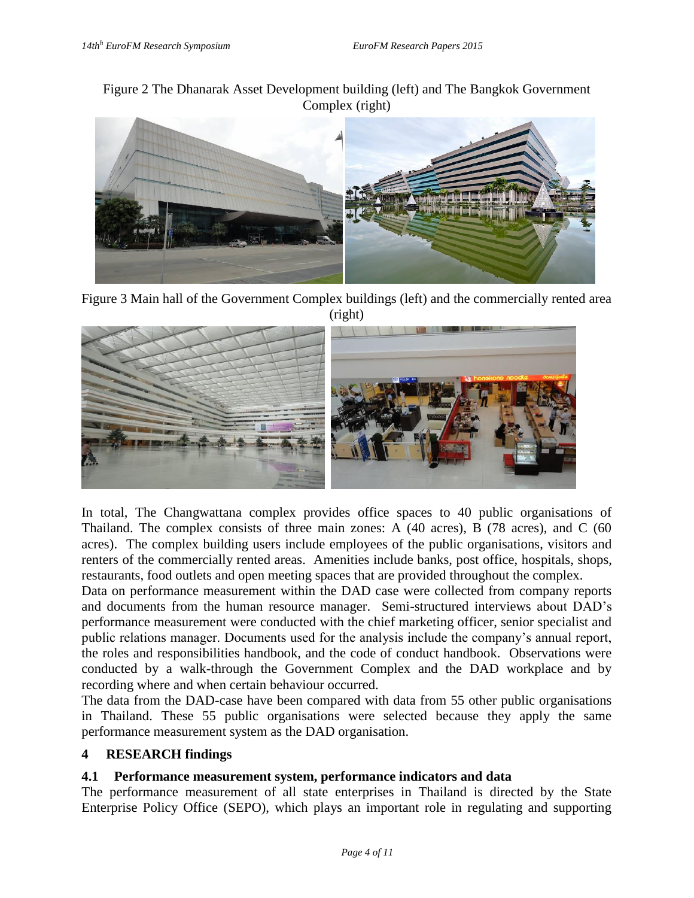Figure 2 The Dhanarak Asset Development building (left) and The Bangkok Government Complex (right)



Figure 3 Main hall of the Government Complex buildings (left) and the commercially rented area (right)



In total, The Changwattana complex provides office spaces to 40 public organisations of Thailand. The complex consists of three main zones: A (40 acres), B (78 acres), and C (60 acres). The complex building users include employees of the public organisations, visitors and renters of the commercially rented areas. Amenities include banks, post office, hospitals, shops, restaurants, food outlets and open meeting spaces that are provided throughout the complex.

Data on performance measurement within the DAD case were collected from company reports and documents from the human resource manager. Semi-structured interviews about DAD's performance measurement were conducted with the chief marketing officer, senior specialist and public relations manager. Documents used for the analysis include the company's annual report, the roles and responsibilities handbook, and the code of conduct handbook. Observations were conducted by a walk-through the Government Complex and the DAD workplace and by recording where and when certain behaviour occurred.

The data from the DAD-case have been compared with data from 55 other public organisations in Thailand. These 55 public organisations were selected because they apply the same performance measurement system as the DAD organisation.

### **4 RESEARCH findings**

#### **4.1 Performance measurement system, performance indicators and data**

The performance measurement of all state enterprises in Thailand is directed by the State Enterprise Policy Office (SEPO), which plays an important role in regulating and supporting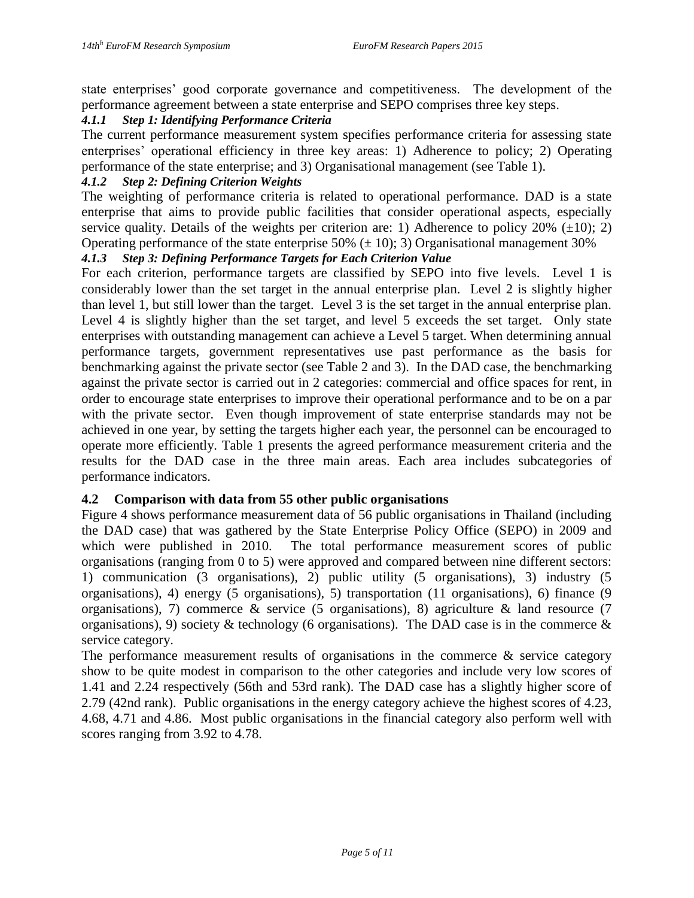state enterprises' good corporate governance and competitiveness. The development of the performance agreement between a state enterprise and SEPO comprises three key steps.

#### *4.1.1 Step 1: Identifying Performance Criteria*

The current performance measurement system specifies performance criteria for assessing state enterprises' operational efficiency in three key areas: 1) Adherence to policy; 2) Operating performance of the state enterprise; and 3) Organisational management (see Table 1).

### *4.1.2 Step 2: Defining Criterion Weights*

The weighting of performance criteria is related to operational performance. DAD is a state enterprise that aims to provide public facilities that consider operational aspects, especially service quality. Details of the weights per criterion are: 1) Adherence to policy  $20\%$  ( $\pm 10$ ); 2) Operating performance of the state enterprise 50%  $(\pm 10)$ ; 3) Organisational management 30%

#### *4.1.3 Step 3: Defining Performance Targets for Each Criterion Value*

For each criterion, performance targets are classified by SEPO into five levels. Level 1 is considerably lower than the set target in the annual enterprise plan. Level 2 is slightly higher than level 1, but still lower than the target. Level 3 is the set target in the annual enterprise plan. Level 4 is slightly higher than the set target, and level 5 exceeds the set target. Only state enterprises with outstanding management can achieve a Level 5 target. When determining annual performance targets, government representatives use past performance as the basis for benchmarking against the private sector (see Table 2 and 3). In the DAD case, the benchmarking against the private sector is carried out in 2 categories: commercial and office spaces for rent, in order to encourage state enterprises to improve their operational performance and to be on a par with the private sector. Even though improvement of state enterprise standards may not be achieved in one year, by setting the targets higher each year, the personnel can be encouraged to operate more efficiently. Table 1 presents the agreed performance measurement criteria and the results for the DAD case in the three main areas. Each area includes subcategories of performance indicators.

#### **4.2 Comparison with data from 55 other public organisations**

Figure 4 shows performance measurement data of 56 public organisations in Thailand (including the DAD case) that was gathered by the State Enterprise Policy Office (SEPO) in 2009 and which were published in 2010. The total performance measurement scores of public organisations (ranging from 0 to 5) were approved and compared between nine different sectors: 1) communication (3 organisations), 2) public utility (5 organisations), 3) industry (5 organisations), 4) energy (5 organisations), 5) transportation (11 organisations), 6) finance (9 organisations), 7) commerce & service (5 organisations), 8) agriculture & land resource (7 organisations), 9) society & technology (6 organisations). The DAD case is in the commerce  $\&$ service category.

The performance measurement results of organisations in the commerce  $\&$  service category show to be quite modest in comparison to the other categories and include very low scores of 1.41 and 2.24 respectively (56th and 53rd rank). The DAD case has a slightly higher score of 2.79 (42nd rank). Public organisations in the energy category achieve the highest scores of 4.23, 4.68, 4.71 and 4.86. Most public organisations in the financial category also perform well with scores ranging from 3.92 to 4.78.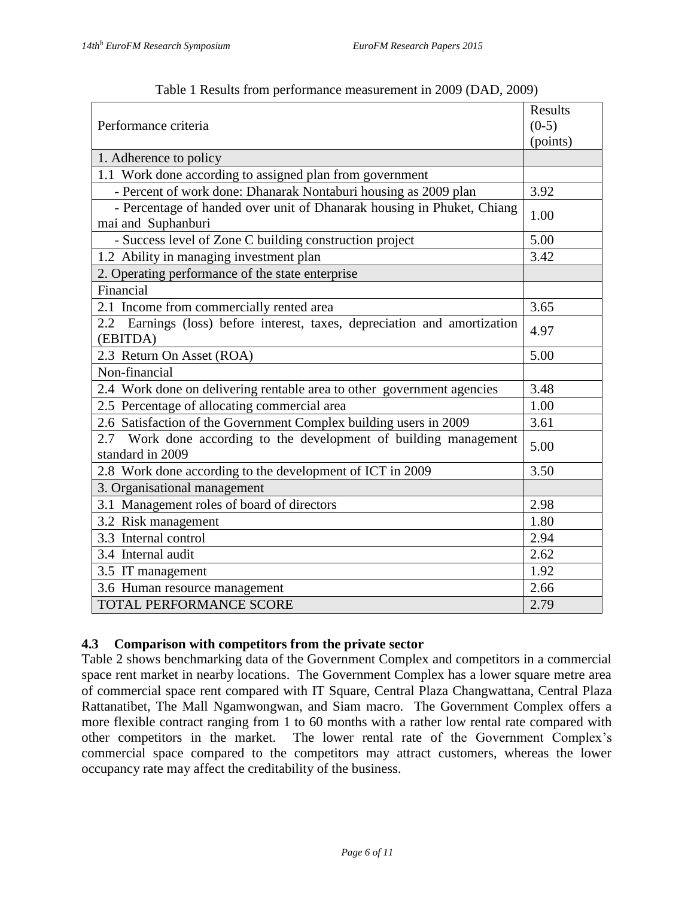|                                                                                              | Results  |  |
|----------------------------------------------------------------------------------------------|----------|--|
| Performance criteria                                                                         |          |  |
|                                                                                              | (points) |  |
| 1. Adherence to policy                                                                       |          |  |
| 1.1 Work done according to assigned plan from government                                     |          |  |
| - Percent of work done: Dhanarak Nontaburi housing as 2009 plan                              | 3.92     |  |
| - Percentage of handed over unit of Dhanarak housing in Phuket, Chiang<br>mai and Suphanburi | 1.00     |  |
| - Success level of Zone C building construction project                                      | 5.00     |  |
| 1.2 Ability in managing investment plan                                                      | 3.42     |  |
| 2. Operating performance of the state enterprise                                             |          |  |
| Financial                                                                                    |          |  |
| 2.1 Income from commercially rented area                                                     | 3.65     |  |
| 2.2 Earnings (loss) before interest, taxes, depreciation and amortization<br>(EBITDA)        | 4.97     |  |
| 2.3 Return On Asset (ROA)                                                                    | 5.00     |  |
| Non-financial                                                                                |          |  |
| 2.4 Work done on delivering rentable area to other government agencies                       | 3.48     |  |
| 2.5 Percentage of allocating commercial area                                                 | 1.00     |  |
| 2.6 Satisfaction of the Government Complex building users in 2009                            | 3.61     |  |
| 2.7 Work done according to the development of building management<br>standard in 2009        | 5.00     |  |
| 2.8 Work done according to the development of ICT in 2009                                    | 3.50     |  |
| 3. Organisational management                                                                 |          |  |
| 3.1 Management roles of board of directors                                                   | 2.98     |  |
| 3.2 Risk management                                                                          | 1.80     |  |
| 3.3 Internal control                                                                         | 2.94     |  |
| 3.4 Internal audit                                                                           | 2.62     |  |
| 3.5 IT management                                                                            | 1.92     |  |
| 3.6 Human resource management                                                                | 2.66     |  |
| TOTAL PERFORMANCE SCORE                                                                      | 2.79     |  |

Table 1 Results from performance measurement in 2009 (DAD, 2009)

### **4.3 Comparison with competitors from the private sector**

Table 2 shows benchmarking data of the Government Complex and competitors in a commercial space rent market in nearby locations. The Government Complex has a lower square metre area of commercial space rent compared with IT Square, Central Plaza Changwattana, Central Plaza Rattanatibet, The Mall Ngamwongwan, and Siam macro. The Government Complex offers a more flexible contract ranging from 1 to 60 months with a rather low rental rate compared with other competitors in the market. The lower rental rate of the Government Complex's commercial space compared to the competitors may attract customers, whereas the lower occupancy rate may affect the creditability of the business.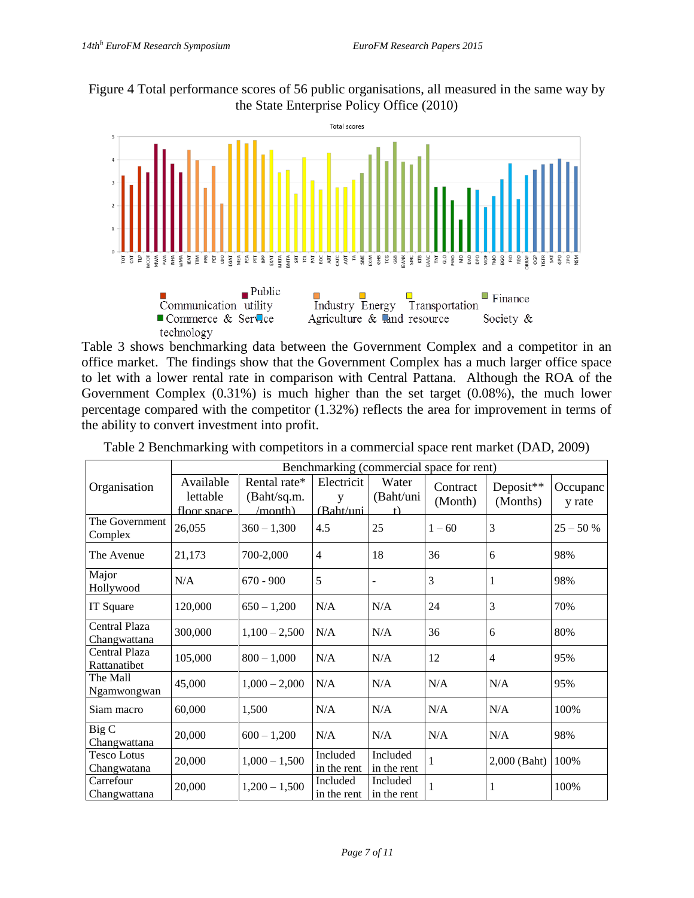Figure 4 Total performance scores of 56 public organisations, all measured in the same way by the State Enterprise Policy Office (2010)



Table 3 shows benchmarking data between the Government Complex and a competitor in an office market. The findings show that the Government Complex has a much larger office space to let with a lower rental rate in comparison with Central Pattana. Although the ROA of the Government Complex (0.31%) is much higher than the set target (0.08%), the much lower percentage compared with the competitor (1.32%) reflects the area for improvement in terms of the ability to convert investment into profit.

|                                   | Benchmarking (commercial space for rent) |                                        |                              |                         |                     |                       |                    |
|-----------------------------------|------------------------------------------|----------------------------------------|------------------------------|-------------------------|---------------------|-----------------------|--------------------|
| Organisation                      | Available<br>lettable<br>floor space     | Rental rate*<br>(Baht/sq.m.<br>/month) | Electricit<br>V<br>(Baht/uni | Water<br>(Baht/uni<br>f | Contract<br>(Month) | Deposit**<br>(Months) | Occupanc<br>y rate |
| The Government<br>Complex         | 26,055                                   | $360 - 1,300$                          | 4.5                          | 25                      | $1 - 60$            | 3                     | $25 - 50 %$        |
| The Avenue                        | 21,173                                   | 700-2,000                              | $\overline{4}$               | 18                      | 36                  | 6                     | 98%                |
| Major<br>Hollywood                | N/A                                      | $670 - 900$                            | 5                            | $\overline{a}$          | 3                   | 1                     | 98%                |
| IT Square                         | 120,000                                  | $650 - 1,200$                          | N/A                          | N/A                     | 24                  | 3                     | 70%                |
| Central Plaza<br>Changwattana     | 300,000                                  | $1,100 - 2,500$                        | N/A                          | N/A                     | 36                  | 6                     | 80%                |
| Central Plaza<br>Rattanatibet     | 105,000                                  | $800 - 1,000$                          | N/A                          | N/A                     | 12                  | 4                     | 95%                |
| The Mall<br>Ngamwongwan           | 45,000                                   | $1,000 - 2,000$                        | N/A                          | N/A                     | N/A                 | N/A                   | 95%                |
| Siam macro                        | 60,000                                   | 1,500                                  | N/A                          | N/A                     | N/A                 | N/A                   | 100%               |
| Big C<br>Changwattana             | 20,000                                   | $600 - 1,200$                          | N/A                          | N/A                     | N/A                 | N/A                   | 98%                |
| <b>Tesco Lotus</b><br>Changwatana | 20,000                                   | $1,000 - 1,500$                        | Included<br>in the rent      | Included<br>in the rent | 1                   | 2,000 (Baht)          | 100%               |
| Carrefour<br>Changwattana         | 20,000                                   | $1,200 - 1,500$                        | Included<br>in the rent      | Included<br>in the rent |                     | 1                     | 100%               |

Table 2 Benchmarking with competitors in a commercial space rent market (DAD, 2009)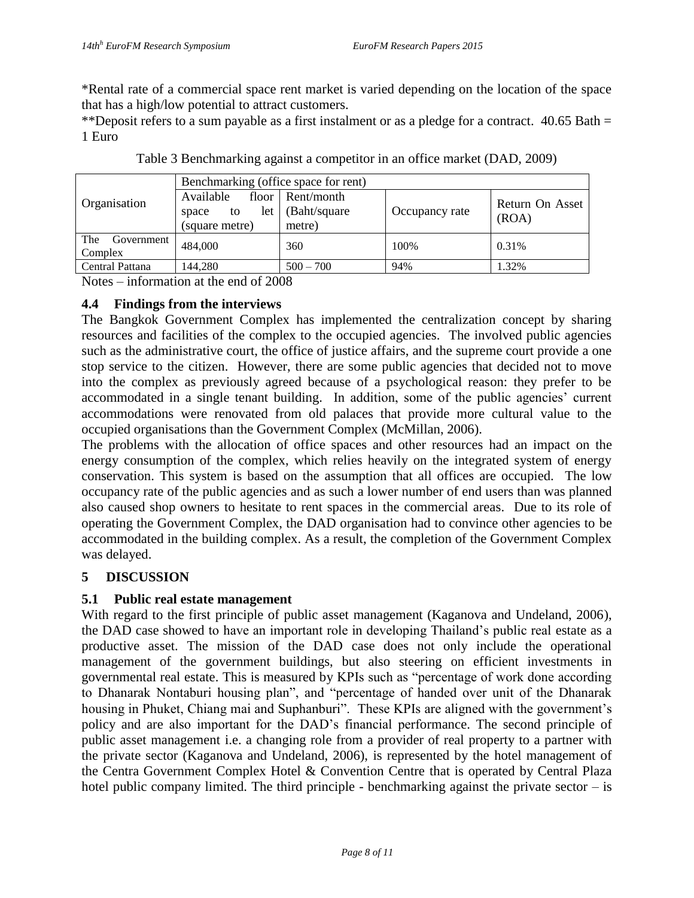\*Rental rate of a commercial space rent market is varied depending on the location of the space that has a high/low potential to attract customers.

\*\*Deposit refers to a sum payable as a first instalment or as a pledge for a contract.  $40.65$  Bath = 1 Euro

| Organisation                   | Benchmarking (office space for rent)              |                                             |                |                          |  |  |
|--------------------------------|---------------------------------------------------|---------------------------------------------|----------------|--------------------------|--|--|
|                                | Available<br>let<br>space<br>to<br>(square metre) | floor Rent/month<br>(Baht/square)<br>metre) | Occupancy rate | Return On Asset<br>(ROA) |  |  |
| The<br>Government  <br>Complex | 484,000                                           | 360                                         | 100%           | 0.31%                    |  |  |
| Central Pattana                | 144.280                                           | $500 - 700$                                 | 94%            | 1.32%                    |  |  |

Notes – information at the end of 2008

### **4.4 Findings from the interviews**

The Bangkok Government Complex has implemented the centralization concept by sharing resources and facilities of the complex to the occupied agencies. The involved public agencies such as the administrative court, the office of justice affairs, and the supreme court provide a one stop service to the citizen. However, there are some public agencies that decided not to move into the complex as previously agreed because of a psychological reason: they prefer to be accommodated in a single tenant building. In addition, some of the public agencies' current accommodations were renovated from old palaces that provide more cultural value to the occupied organisations than the Government Complex (McMillan, 2006).

The problems with the allocation of office spaces and other resources had an impact on the energy consumption of the complex, which relies heavily on the integrated system of energy conservation. This system is based on the assumption that all offices are occupied. The low occupancy rate of the public agencies and as such a lower number of end users than was planned also caused shop owners to hesitate to rent spaces in the commercial areas. Due to its role of operating the Government Complex, the DAD organisation had to convince other agencies to be accommodated in the building complex. As a result, the completion of the Government Complex was delayed.

# **5 DISCUSSION**

# **5.1 Public real estate management**

With regard to the first principle of public asset management (Kaganova and Undeland, 2006), the DAD case showed to have an important role in developing Thailand's public real estate as a productive asset. The mission of the DAD case does not only include the operational management of the government buildings, but also steering on efficient investments in governmental real estate. This is measured by KPIs such as "percentage of work done according to Dhanarak Nontaburi housing plan", and "percentage of handed over unit of the Dhanarak housing in Phuket, Chiang mai and Suphanburi". These KPIs are aligned with the government's policy and are also important for the DAD's financial performance. The second principle of public asset management i.e. a changing role from a provider of real property to a partner with the private sector (Kaganova and Undeland, 2006), is represented by the hotel management of the Centra Government Complex Hotel & Convention Centre that is operated by Central Plaza hotel public company limited. The third principle - benchmarking against the private sector  $-$  is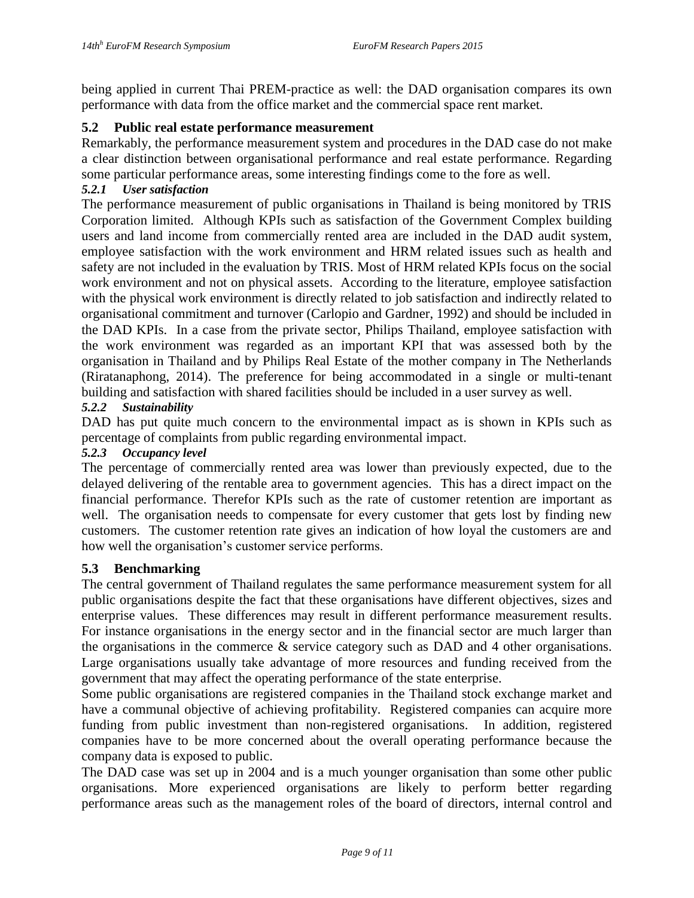being applied in current Thai PREM-practice as well: the DAD organisation compares its own performance with data from the office market and the commercial space rent market.

### **5.2 Public real estate performance measurement**

Remarkably, the performance measurement system and procedures in the DAD case do not make a clear distinction between organisational performance and real estate performance. Regarding some particular performance areas, some interesting findings come to the fore as well.

### *5.2.1 User satisfaction*

The performance measurement of public organisations in Thailand is being monitored by TRIS Corporation limited. Although KPIs such as satisfaction of the Government Complex building users and land income from commercially rented area are included in the DAD audit system, employee satisfaction with the work environment and HRM related issues such as health and safety are not included in the evaluation by TRIS. Most of HRM related KPIs focus on the social work environment and not on physical assets. According to the literature, employee satisfaction with the physical work environment is directly related to job satisfaction and indirectly related to organisational commitment and turnover (Carlopio and Gardner, 1992) and should be included in the DAD KPIs. In a case from the private sector, Philips Thailand, employee satisfaction with the work environment was regarded as an important KPI that was assessed both by the organisation in Thailand and by Philips Real Estate of the mother company in The Netherlands (Riratanaphong, 2014). The preference for being accommodated in a single or multi-tenant building and satisfaction with shared facilities should be included in a user survey as well.

### *5.2.2 Sustainability*

DAD has put quite much concern to the environmental impact as is shown in KPIs such as percentage of complaints from public regarding environmental impact.

#### *5.2.3 Occupancy level*

The percentage of commercially rented area was lower than previously expected, due to the delayed delivering of the rentable area to government agencies. This has a direct impact on the financial performance. Therefor KPIs such as the rate of customer retention are important as well. The organisation needs to compensate for every customer that gets lost by finding new customers. The customer retention rate gives an indication of how loyal the customers are and how well the organisation's customer service performs.

#### **5.3 Benchmarking**

The central government of Thailand regulates the same performance measurement system for all public organisations despite the fact that these organisations have different objectives, sizes and enterprise values. These differences may result in different performance measurement results. For instance organisations in the energy sector and in the financial sector are much larger than the organisations in the commerce & service category such as DAD and 4 other organisations. Large organisations usually take advantage of more resources and funding received from the government that may affect the operating performance of the state enterprise.

Some public organisations are registered companies in the Thailand stock exchange market and have a communal objective of achieving profitability. Registered companies can acquire more funding from public investment than non-registered organisations. In addition, registered companies have to be more concerned about the overall operating performance because the company data is exposed to public.

The DAD case was set up in 2004 and is a much younger organisation than some other public organisations. More experienced organisations are likely to perform better regarding performance areas such as the management roles of the board of directors, internal control and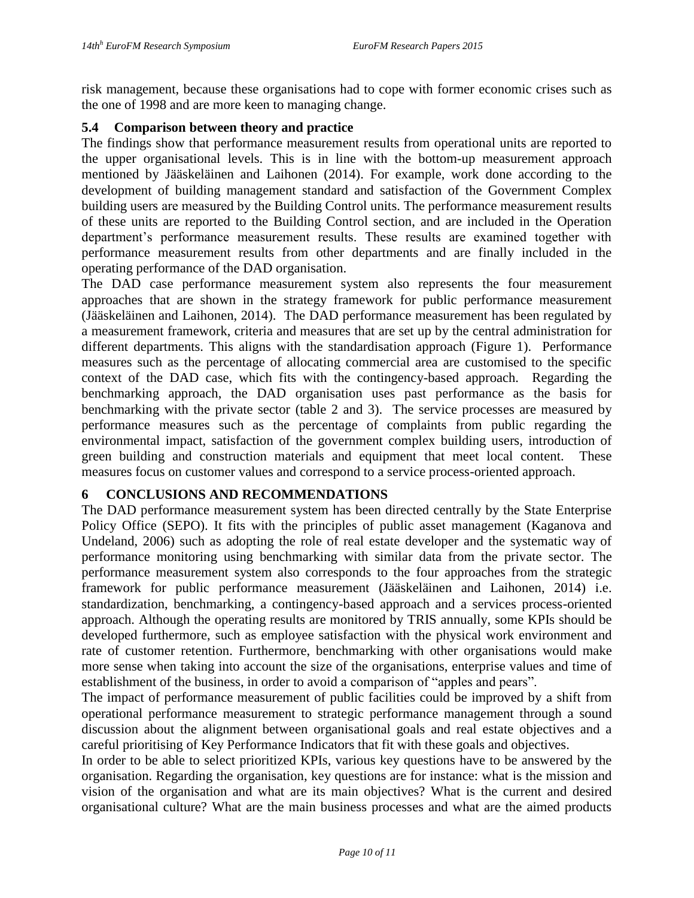risk management, because these organisations had to cope with former economic crises such as the one of 1998 and are more keen to managing change.

### **5.4 Comparison between theory and practice**

The findings show that performance measurement results from operational units are reported to the upper organisational levels. This is in line with the bottom-up measurement approach mentioned by Jääskeläinen and Laihonen (2014). For example, work done according to the development of building management standard and satisfaction of the Government Complex building users are measured by the Building Control units. The performance measurement results of these units are reported to the Building Control section, and are included in the Operation department's performance measurement results. These results are examined together with performance measurement results from other departments and are finally included in the operating performance of the DAD organisation.

The DAD case performance measurement system also represents the four measurement approaches that are shown in the strategy framework for public performance measurement (Jääskeläinen and Laihonen, 2014). The DAD performance measurement has been regulated by a measurement framework, criteria and measures that are set up by the central administration for different departments. This aligns with the standardisation approach (Figure 1). Performance measures such as the percentage of allocating commercial area are customised to the specific context of the DAD case, which fits with the contingency-based approach. Regarding the benchmarking approach, the DAD organisation uses past performance as the basis for benchmarking with the private sector (table 2 and 3). The service processes are measured by performance measures such as the percentage of complaints from public regarding the environmental impact, satisfaction of the government complex building users, introduction of green building and construction materials and equipment that meet local content. These measures focus on customer values and correspond to a service process-oriented approach.

### **6 CONCLUSIONS AND RECOMMENDATIONS**

The DAD performance measurement system has been directed centrally by the State Enterprise Policy Office (SEPO). It fits with the principles of public asset management (Kaganova and Undeland, 2006) such as adopting the role of real estate developer and the systematic way of performance monitoring using benchmarking with similar data from the private sector. The performance measurement system also corresponds to the four approaches from the strategic framework for public performance measurement (Jääskeläinen and Laihonen, 2014) i.e. standardization, benchmarking, a contingency-based approach and a services process-oriented approach. Although the operating results are monitored by TRIS annually, some KPIs should be developed furthermore, such as employee satisfaction with the physical work environment and rate of customer retention. Furthermore, benchmarking with other organisations would make more sense when taking into account the size of the organisations, enterprise values and time of establishment of the business, in order to avoid a comparison of "apples and pears".

The impact of performance measurement of public facilities could be improved by a shift from operational performance measurement to strategic performance management through a sound discussion about the alignment between organisational goals and real estate objectives and a careful prioritising of Key Performance Indicators that fit with these goals and objectives.

In order to be able to select prioritized KPIs, various key questions have to be answered by the organisation. Regarding the organisation, key questions are for instance: what is the mission and vision of the organisation and what are its main objectives? What is the current and desired organisational culture? What are the main business processes and what are the aimed products